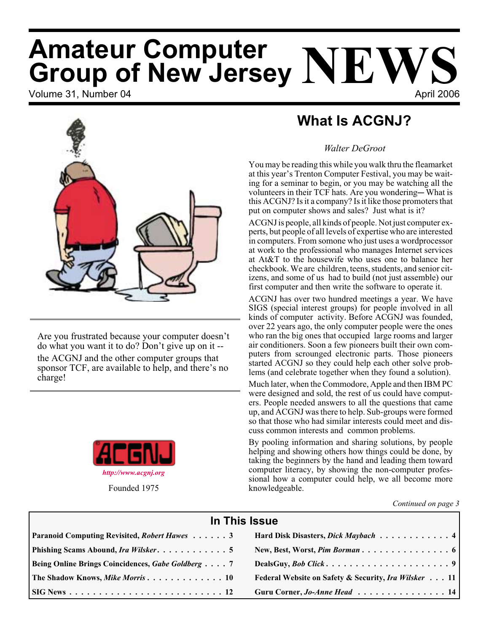# Volume 31, Number 04 **April 2006 Amateur Computer Group of New Jersey NEWS**



Are you frustrated because your computer doesn't do what you want it to do? Don't give up on it - the ACGNJ and the other computer groups that sponsor TCF, are available to help, and there's no charge!



# **What Is ACGNJ?**

# *Walter DeGroot*

You may be reading this while you walk thru the fleamarket at this year's Trenton Computer Festival, you may be waiting for a seminar to begin, or you may be watching all the volunteers in their TCF hats. Are you wondering—What is this ACGNJ? Is it a company? Is it like those promoters that put on computer shows and sales? Just what is it?

ACGNJ is people, all kinds of people. Not just computer experts, but people of all levels of expertise who are interested in computers. From somone who just uses a wordprocessor at work to the professional who manages Internet services at At&T to the housewife who uses one to balance her checkbook. We are children, teens, students, and senior citizens, and some of us had to build (not just assemble) our first computer and then write the software to operate it.

ACGNJ has over two hundred meetings a year. We have SIGS (special interest groups) for people involved in all kinds of computer activity. Before ACGNJ was founded, over 22 years ago, the only computer people were the ones who ran the big ones that occupied large rooms and larger air conditioners. Soon a few pioneers built their own computers from scrounged electronic parts. Those pioneers started ACGNJ so they could help each other solve problems (and celebrate together when they found a solution).

Much later, when the Commodore, Apple and then IBM PC were designed and sold, the rest of us could have computers. People needed answers to all the questions that came up, and ACGNJ was there to help. Sub-groups were formed so that those who had similar interests could meet and discuss common interests and common problems.

By pooling information and sharing solutions, by people helping and showing others how things could be done, by taking the beginners by the hand and leading them toward computer literacy, by showing the non-computer professional how a computer could help, we all become more knowledgeable.

*Continued on page 3*

| In This Issue                                     |                                                      |  |  |  |
|---------------------------------------------------|------------------------------------------------------|--|--|--|
| Paranoid Computing Revisited, Robert Hawes 3      | Hard Disk Disasters, Dick Maybach 4                  |  |  |  |
|                                                   |                                                      |  |  |  |
| Being Online Brings Coincidences, Gabe Goldberg 7 |                                                      |  |  |  |
| <b>The Shadow Knows, Mike Morris 10</b>           | Federal Website on Safety & Security, Ira Wilsker 11 |  |  |  |
|                                                   | Guru Corner, <i>Jo-Anne Head</i> 14                  |  |  |  |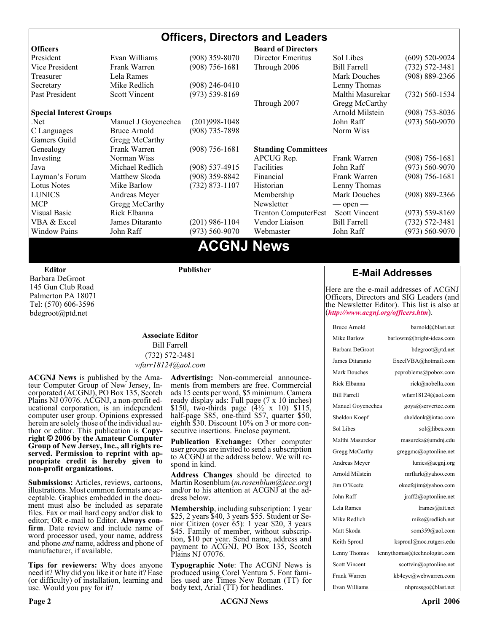#### **Officers, Directors and Leaders Officers Board of Directors**<br> **President** Evan Williams (908) 359-8070 Director Emeritus (908) 359-8070 Director Emeritus Sol Libes (609) 520-9024 Vice President Frank Warren (908) 756-1681 Through 2006 Bill Farrell (732) 572-3481 Treasurer Lela Rames Lela Annes (908) 889-2366 Secretary Mike Redlich (908) 246-0410 Lenny Thomas Past President Scott Vincent (973) 539-8169 Malthi Masurekar (732) 560-1534 Through 2007 Gregg McCarthy **Special Interest Groups Arnold Milstein** (908) 753-8036 Net 1973) Manuel J Goyenechea (201)998-1048<br>C Languages Bruce Arnold (908) 735-7898 100 Norm Wiss C Languages Bruce Arnold (908) 735-7898 Gamers Guild Gregg McCarthy Genealogy Frank Warren (908) 756-1681 **Standing Committees** Investing Norman Wiss APCUG Rep. Frank Warren (908) 756-1681<br>Java Michael Redlich (908) 537-4915 Facilities John Raff (973) 560-9070 Java Michael Redlich (908) 537-4915 Facilities John Raff (973) 560-9070 Layman's Forum Matthew Skoda (908) 359-8842 Financial Frank Warren (908) 756-1681 Lotus Notes Mike Barlow (732) 873-1107 Historian Lenny Thomas LUNICS Andreas Meyer Membership Mark Douches (908) 889-2366 MCP Gregg McCarthy Newsletter — open — Visual Basic Rick Elbanna Trenton ComputerFest Scott Vincent (973) 539-8169 VBA & Excel James Ditaranto (201) 986-1104 Vendor Liaison Bill Farrell (732) 572-3481 Window Pains John Raff (973) 560-9070 Webmaster John Raff (973) 560-9070

# **ACGNJ News**

**Editor**

Barbara DeGroot 145 Gun Club Road Palmerton PA 18071 Tel: (570) 606-3596 bdegroot@ptd.net

#### **Associate Editor** Bill Farrell (732) 572-3481 *wfarr18124@aol.com*

**Publisher**

**ACGNJ News** is published by the Ama- teur Computer Group of New Jersey, In- corporated (ACGNJ), PO Box 135, Scotch Plains NJ 07076. ACGNJ, a non-profit ed-<br>ucational corporation, is an independent computer user group. Opinions expressed<br>herein are solely those of the individual author or editor. This publication is **Copy-**<br>right © 2006 by the Amateur Computer<br>Group of New Jersey, Inc., all rights re-**Group of New Jersey, Inc., all rights re- served. Permission to reprint with ap- propriate credit is hereby given to non-profit organizations.**

**Submissions:** Articles, reviews, cartoons, illustrations. Most common formats are acceptable. Graphics embedded in the docu-<br>ment must also be included as separate files. Fax or mail hard copy and/or disk to editor: OR e-mail to Editor. **Always con**firm. Date review and include name of word processor used, your name, address and phone *and* name, address and phone of manufacturer, if available.

**Tips for reviewers:** Why does anyone need it? Why did you like it or hate it? Ease (or difficulty) of installation, learning and use. Would you pay for it?

**Advertising:** Non-commercial announce- ments from members are free. Commercial ads 15 cents per word, \$5 minimum. Camera ready display ads: Full page (7 x 10 inches) \$150, two-thirds page (4½ x 10) \$115, half-page \$85, one-third \$57, quarter \$50, eighth \$30. Discount 10% on 3 or more con- secutive insertions. Enclose payment.

**Publication Exchange:** Other computer user groups are invited to send a subscription to ACGNJ at the address below. We will re- spond in kind.

**Address Changes** should be directed to Martin Rosenblum (*m.rosenblum@ieee.org*) and/or to his attention at ACGNJ at the ad- dress below.

**Membership**, including subscription: 1 year \$25, 2 years \$40, 3 years \$55. Student or Senior Citizen (over 65): 1 year \$20, 3 years \$45. Family of member, without subscription, \$10 per year. Send name, address and payment to ACGNJ, PO Box 135, Scotch Plains NJ 07076.

**Typographic Note**: The ACGNJ News is produced using Corel Ventura 5. Font fami- lies used are Times New Roman (TT) for body text, Arial (TT) for headlines.

# **E-Mail Addresses**

Here are the e-mail addresses of ACGNJ Officers, Directors and SIG Leaders (and the Newsletter Editor). This list is also at (*<http://www.acgnj.org/officers.htm>*).

| <b>Bruce Arnold</b>  | barnold@blast.net            |
|----------------------|------------------------------|
| Mike Barlow          | barlowm@bright-ideas.com     |
| Barbara DeGroot      | bdegroot@ptd.net             |
| James Ditaranto      | ExcelVBA@hotmail.com         |
| <b>Mark Douches</b>  | pcproblems@pobox.com         |
| Rick Elbanna         | rick@nobella.com             |
| <b>Bill Farrell</b>  | wfarr18124@aol.com           |
| Manuel Goyenechea    | goya@servertec.com           |
| Sheldon Koepf        | sheldonk@intac.com           |
| Sol Libes            | sol@libes.com                |
| Malthi Masurekar     | masureka@umdnj.edu           |
| Gregg McCarthy       | greggmc@optonline.net        |
| Andreas Meyer        | lunics@acgni.org             |
| Arnold Milstein      | mrflark@yahoo.com            |
| Jim O'Keefe          | okeefejim@yahoo.com          |
| John Raff            | jraff2@optonline.net         |
| Lela Rames           | lrames@att.net               |
| Mike Redlich         | mike@redlich.net             |
| Matt Skoda           | som359@aol.com               |
| Keith Sproul         | ksproul@noc.rutgers.edu      |
| Lenny Thomas         | lennythomas@technologist.com |
| <b>Scott Vincent</b> | scottvin@optonline.net       |
| Frank Warren         | kb4cyc@webwarren.com         |
| Evan Williams        | nhpressgo@blast.net          |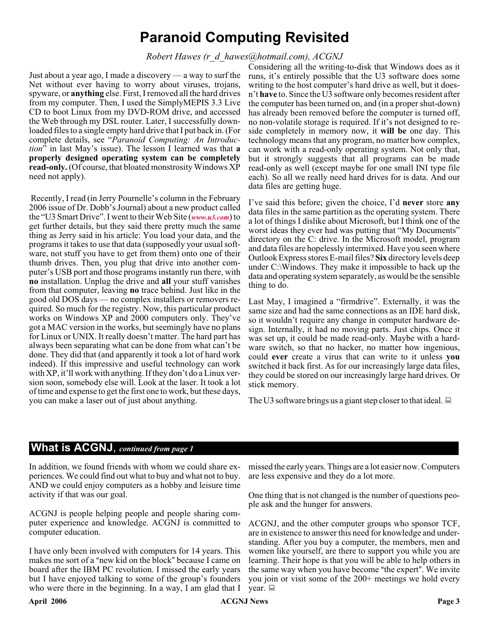# **Paranoid Computing Revisited**

### *Robert Hawes (r\_d\_hawes@hotmail.com), ACGNJ*

Just about a year ago, I made a discovery — a way to surf the Net without ever having to worry about viruses, trojans, spyware, or **anything** else. First, I removed all the hard drives from my computer. Then, I used the SimplyMEPIS 3.3 Live CD to boot Linux from my DVD-ROM drive, and accessed the Web through my DSL router. Later, I successfully downloaded files to a single empty hard drive that I put back in. (For complete details, see "*Paranoid Computing: An Introduction*" in last May's issue). The lesson I learned was that **a properly designed operating system can be completely read-only.** (Of course, that bloated monstrosity Windows XP need not apply).

Recently, I read (in Jerry Pournelle's column in the February 2006 issue of Dr. Dobb's Journal) about a new product called the "U3 Smart Drive". I went to their Web Site (*[www.u3.com](http://www.u3.com)*) to get further details, but they said there pretty much the same thing as Jerry said in his article: You load your data, and the programs it takes to use that data (supposedly your usual software, not stuff you have to get from them) onto one of their thumb drives. Then, you plug that drive into another computer's USB port and those programs instantly run there, with **no** installation. Unplug the drive and **all** your stuff vanishes from that computer, leaving **no** trace behind. Just like in the good old DOS days — no complex installers or removers required. So much for the registry. Now, this particular product works on Windows XP and 2000 computers only. They've got a MAC version in the works, but seemingly have no plans for Linux or UNIX. It really doesn't matter. The hard part has always been separating what can be done from what can't be done. They did that (and apparently it took a lot of hard work indeed). If this impressive and useful technology can work with XP, it'll work with anything. If they don't do a Linux version soon, somebody else will. Look at the laser. It took a lot of time and expense to get the first one to work, but these days, you can make a laser out of just about anything.

Considering all the writing-to-disk that Windows does as it runs, it's entirely possible that the U3 software does some writing to the host computer's hard drive as well, but it doesn't **have** to. Since the U3 software only becomes resident after the computer has been turned on, and (in a proper shut-down) has already been removed before the computer is turned off, no non-volatile storage is required. If it's not designed to reside completely in memory now, it **will be** one day. This technology means that any program, no matter how complex, can work with a read-only operating system. Not only that, but it strongly suggests that all programs can be made read-only as well (except maybe for one small INI type file each). So all we really need hard drives for is data. And our data files are getting huge.

I've said this before; given the choice, I'd **never** store **any** data files in the same partition as the operating system. There a lot of things I dislike about Microsoft, but I think one of the worst ideas they ever had was putting that "My Documents" directory on the C: drive. In the Microsoft model, program and data files are hopelessly intermixed. Have you seen where Outlook Express stores E-mail files? **Six** directory levels deep under C:\Windows. They make it impossible to back up the data and operating system separately, as would be the sensible thing to do.

Last May, I imagined a "firmdrive". Externally, it was the same size and had the same connections as an IDE hard disk, so it wouldn't require any change in computer hardware design. Internally, it had no moving parts. Just chips. Once it was set up, it could be made read-only. Maybe with a hardware switch, so that no hacker, no matter how ingenious, could **ever** create a virus that can write to it unless **you** switched it back first. As for our increasingly large data files, they could be stored on our increasingly large hard drives. Or stick memory.

The U3 software brings us a giant step closer to that ideal.  $\Box$ 

# **What is ACGNJ**, *continued from page 1*

In addition, we found friends with whom we could share experiences. We could find out what to buy and what not to buy. AND we could enjoy computers as a hobby and leisure time activity if that was our goal.

ACGNJ is people helping people and people sharing computer experience and knowledge. ACGNJ is committed to computer education.

I have only been involved with computers for 14 years. This makes me sort of a "new kid on the block" because I came on board after the IBM PC revolution. I missed the early years but I have enjoyed talking to some of the group's founders who were there in the beginning. In a way, I am glad that I

missed the early years. Things are a lot easier now. Computers are less expensive and they do a lot more.

One thing that is not changed is the number of questions people ask and the hunger for answers.

ACGNJ, and the other computer groups who sponsor TCF, are in existence to answer this need for knowledge and understanding. After you buy a computer, the members, men and women like yourself, are there to support you while you are learning. Their hope is that you will be able to help others in the same way when you have become "the expert". We invite you join or visit some of the 200+ meetings we hold every year.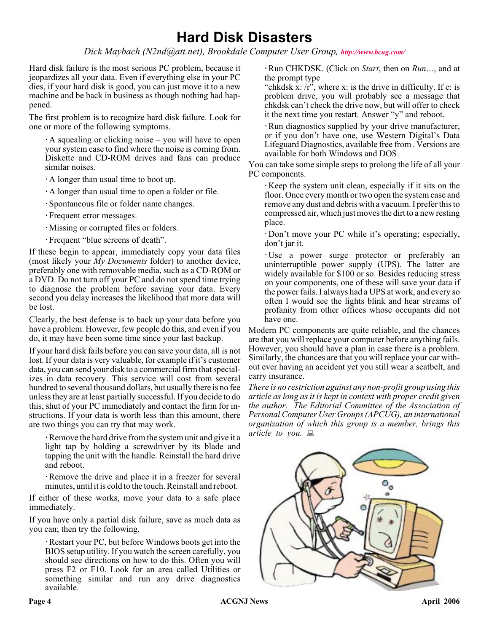# **Hard Disk Disasters**

*Dick Maybach (N2nd@att.net), Brookdale Computer User Group, <http://www.bcug.com/>*

Hard disk failure is the most serious PC problem, because it jeopardizes all your data. Even if everything else in your PC dies, if your hard disk is good, you can just move it to a new machine and be back in business as though nothing had happened.

The first problem is to recognize hard disk failure. Look for one or more of the following symptoms.

A squealing or clicking noise – you will have to open your system case to find where the noise is coming from. Diskette and CD-ROM drives and fans can produce similar noises.

A longer than usual time to boot up.

A longer than usual time to open a folder or file.

Spontaneous file or folder name changes.

Frequent error messages.

Missing or corrupted files or folders.

Frequent "blue screens of death".

If these begin to appear, immediately copy your data files (most likely your *My Documents* folder) to another device, preferably one with removable media, such as a CD-ROM or a DVD. Do not turn off your PC and do not spend time trying to diagnose the problem before saving your data. Every second you delay increases the likelihood that more data will be lost.

Clearly, the best defense is to back up your data before you have a problem. However, few people do this, and even if you do, it may have been some time since your last backup.

If your hard disk fails before you can save your data, all is not lost. If your data is very valuable, for example if it's customer data, you can send your disk to a commercial firm that specializes in data recovery. This service will cost from several hundred to several thousand dollars, but usually there is no fee unless they are at least partially successful. If you decide to do this, shut of your PC immediately and contact the firm for instructions. If your data is worth less than this amount, there are two things you can try that may work.

Remove the hard drive from the system unit and give it a light tap by holding a screwdriver by its blade and tapping the unit with the handle. Reinstall the hard drive and reboot.

Remove the drive and place it in a freezer for several minutes, until it is cold to the touch. Reinstall and reboot.

If either of these works, move your data to a safe place immediately.

If you have only a partial disk failure, save as much data as you can; then try the following.

Restart your PC, but before Windows boots get into the BIOS setup utility. If you watch the screen carefully, you should see directions on how to do this. Often you will press F2 or F10. Look for an area called Utilities or something similar and run any drive diagnostics available.

Run CHKDSK. (Click on *Start*, then on *Run…*, and at the prompt type

"chkdsk x:  $\langle r \rangle$ ", where x: is the drive in difficulty. If c: is problem drive, you will probably see a message that chkdsk can't check the drive now, but will offer to check it the next time you restart. Answer "y" and reboot.

Run diagnostics supplied by your drive manufacturer, or if you don't have one, use Western Digital's Data Lifeguard Diagnostics, available free from . Versions are available for both Windows and DOS.

You can take some simple steps to prolong the life of all your PC components.

Keep the system unit clean, especially if it sits on the floor. Once every month or two open the system case and remove any dust and debris with a vacuum. I prefer this to compressed air, which just moves the dirt to a new resting place.

Don't move your PC while it's operating; especially, don't jar it.

Use a power surge protector or preferably an uninterruptible power supply (UPS). The latter are widely available for \$100 or so. Besides reducing stress on your components, one of these will save your data if the power fails. I always had a UPS at work, and every so often I would see the lights blink and hear streams of profanity from other offices whose occupants did not have one.

Modern PC components are quite reliable, and the chances are that you will replace your computer before anything fails. However, you should have a plan in case there is a problem. Similarly, the chances are that you will replace your car without ever having an accident yet you still wear a seatbelt, and carry insurance.

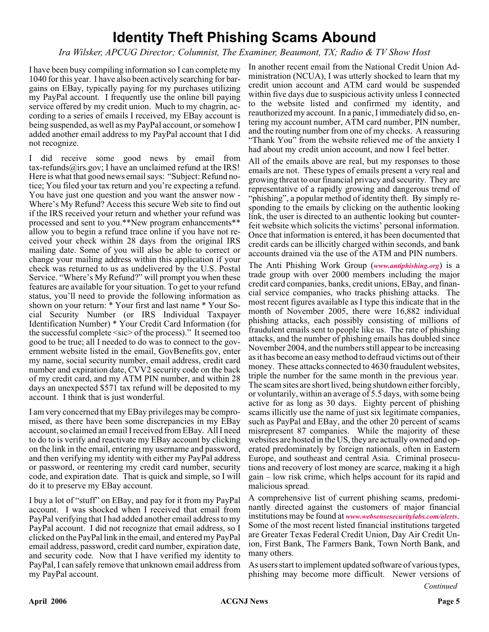# **Identity Theft Phishing Scams Abound**

### *Ira Wilsker, APCUG Director; Columnist, The Examiner, Beaumont, TX; Radio & TV Show Host*

I have been busy compiling information so I can complete my 1040 for this year. I have also been actively searching for bargains on EBay, typically paying for my purchases utilizing my PayPal account. I frequently use the online bill paying service offered by my credit union. Much to my chagrin, according to a series of emails I received, my EBay account is being suspended, as well as my PayPal account, or somehow I added another email address to my PayPal account that I did not recognize.

I did receive some good news by email from tax-refunds@irs.gov; I have an unclaimed refund at the IRS! Here is what that good news email says: "Subject: Refund notice; You filed your tax return and you're expecting a refund. You have just one question and you want the answer now - Where's My Refund? Access this secure Web site to find out if the IRS received your return and whether your refund was processed and sent to you.\*\*New program enhancements\*\* allow you to begin a refund trace online if you have not received your check within 28 days from the original IRS mailing date. Some of you will also be able to correct or change your mailing address within this application if your check was returned to us as undelivered by the U.S. Postal Service. "Where's My Refund?" will prompt you when these features are available for your situation. To get to your refund status, you'll need to provide the following information as shown on your return: \* Your first and last name \* Your Social Security Number (or IRS Individual Taxpayer Identification Number) \* Your Credit Card Information (for the successful complete <sic> of the process)." It seemed too good to be true; all I needed to do was to connect to the government website listed in the email, GovBenefits.gov, enter my name, social security number, email address, credit card number and expiration date, CVV2 security code on the back of my credit card, and my ATM PIN number, and within 28 days an unexpected \$571 tax refund will be deposited to my account. I think that is just wonderful.

I am very concerned that my EBay privileges may be compromised, as there have been some discrepancies in my EBay account, so claimed an email I received from EBay. All I need to do to is verify and reactivate my EBay account by clicking on the link in the email, entering my username and password, and then verifying my identity with either my PayPal address or password, or reentering my credit card number, security code, and expiration date. That is quick and simple, so I will do it to preserve my EBay account.

I buy a lot of "stuff" on EBay, and pay for it from my PayPal account. I was shocked when I received that email from PayPal verifying that I had added another email address to my PayPal account. I did not recognize that email address, so I clicked on the PayPal link in the email, and entered my PayPal email address, password, credit card number, expiration date, and security code. Now that I have verified my identity to PayPal, I can safely remove that unknown email address from my PayPal account.

In another recent email from the National Credit Union Administration (NCUA), I was utterly shocked to learn that my credit union account and ATM card would be suspended within five days due to suspicious activity unless I connected to the website listed and confirmed my identity, and reauthorized my account. In a panic, I immediately did so, entering my account number, ATM card number, PIN number, and the routing number from one of my checks. A reassuring "Thank You" from the website relieved me of the anxiety I had about my credit union account, and now I feel better.

All of the emails above are real, but my responses to those emails are not. These types of emails present a very real and growing threat to our financial privacy and security. They are representative of a rapidly growing and dangerous trend of "phishing", a popular method of identity theft. By simply responding to the emails by clicking on the authentic looking link, the user is directed to an authentic looking but counterfeit website which solicits the victims' personal information. Once that information is entered, it has been documented that credit cards can be illicitly charged within seconds, and bank accounts drained via the use of the ATM and PIN numbers.

The Anti Phishing Work Group (*[www.antiphishing.org](http://www.antiphishing.org)*) is a trade group with over 2000 members including the major credit card companies, banks, credit unions, EBay, and financial service companies, who tracks phishing attacks. The most recent figures available as I type this indicate that in the month of November 2005, there were 16,882 individual phishing attacks, each possibly consisting of millions of fraudulent emails sent to people like us. The rate of phishing attacks, and the number of phishing emails has doubled since November 2004, and the numbers still appear to be increasing as it has become an easy method to defraud victims out of their money. These attacks connected to 4630 fraudulent websites, triple the number for the same month in the previous year. The scam sites are short lived, being shutdown either forcibly, or voluntarily, within an average of 5.5 days, with some being active for as long as 30 days. Eighty percent of phishing scams illicitly use the name of just six legitimate companies, such as PayPal and EBay, and the other 20 percent of scams misrepresent 87 companies. While the majority of these websites are hosted in the US, they are actually owned and operated predominately by foreign nationals, often in Eastern Europe, and southeast and central Asia. Criminal prosecutions and recovery of lost money are scarce, making it a high gain – low risk crime, which helps account for its rapid and malicious spread.

A comprehensive list of current phishing scams, predominantly directed against the customers of major financial institutions may be found at *[www.websensesecuritylabs.com/alerts](http://www.websensesecuritylabs.com/alerts)*. Some of the most recent listed financial institutions targeted are Greater Texas Federal Credit Union, Day Air Credit Union, First Bank, The Farmers Bank, Town North Bank, and many others.

As users start to implement updated software of various types, phishing may become more difficult. Newer versions of

*Continued*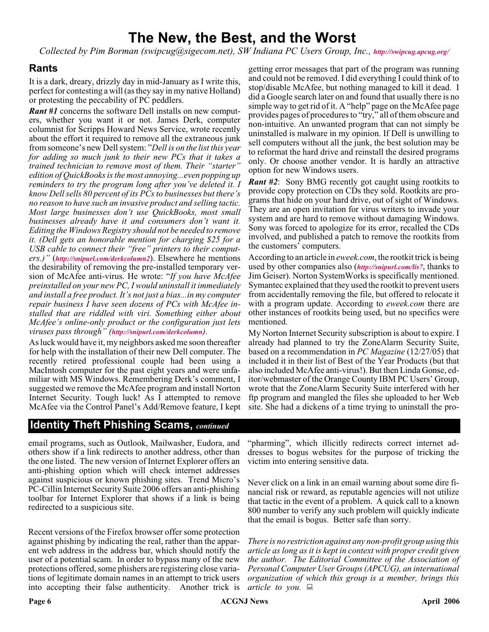# **The New, the Best, and the Worst**

*Collected by Pim Borman (swipcug@sigecom.net), SW Indiana PC Users Group, Inc., <http://swipcug.apcug.org/>*

### **Rants**

It is a dark, dreary, drizzly day in mid-January as I write this, perfect for contesting a will (as they say in my native Holland) or protesting the peccability of PC peddlers.

*Rant #1* concerns the software Dell installs on new computers, whether you want it or not. James Derk, computer columnist for Scripps Howard News Service, wrote recently about the effort it required to remove all the extraneous junk from someone's new Dell system: "*Dell is on the list this year for adding so much junk to their new PCs that it takes a trained technician to remove most of them. Their "starter" edition of QuickBooks is the most annoying...even popping up reminders to try the program long after you've deleted it. I know Dell sells 80 percent of its PCs to businesses but there's no reason to have such an invasive product and selling tactic. Most large businesses don't use QuickBooks, most small businesses already have it and consumers don't want it. Editing the Windows Registry should not be needed to remove it. (Dell gets an honorable mention for charging \$25 for a USB cable to connect their "free" printers to their computers.)"* (*<http://snipurl.com/derkcolumn2>*). Elsewhere he mentions the desirability of removing the pre-installed temporary version of McAfee anti-virus. He wrote: "*If you have McAfee preinstalled on your new PC, I would uninstall it immediately and install a free product. It's not just a bias...in my computer repair business I have seen dozens of PCs with McAfee installed that are riddled with viri. Something either about McAfee's online-only product or the configuration just lets viruses pass through" (<http://snipurl.com/derkcolumn>).*

As luck would have it, my neighbors asked me soon thereafter for help with the installation of their new Dell computer. The recently retired professional couple had been using a MacIntosh computer for the past eight years and were unfamiliar with MS Windows. Remembering Derk's comment, I suggested we remove the McAfee program and install Norton Internet Security. Tough luck! As I attempted to remove McAfee via the Control Panel's Add/Remove feature, I kept

getting error messages that part of the program was running and could not be removed. I did everything I could think of to stop/disable McAfee, but nothing managed to kill it dead. I did a Google search later on and found that usually there is no simple way to get rid of it. A "help" page on the McAfee page provides pages of procedures to "try," all of them obscure and non-intuitive. An unwanted program that can not simply be uninstalled is malware in my opinion. If Dell is unwilling to sell computers without all the junk, the best solution may be to reformat the hard drive and reinstall the desired programs only. Or choose another vendor. It is hardly an attractive option for new Windows users.

*Rant #2*: Sony BMG recently got caught using rootkits to provide copy protection on CDs they sold. Rootkits are programs that hide on your hard drive, out of sight of Windows. They are an open invitation for virus writers to invade your system and are hard to remove without damaging Windows. Sony was forced to apologize for its error, recalled the CDs involved, and published a patch to remove the rootkits from the customers' computers.

According to an article in *eweek.com*, the rootkit trick is being used by other companies also (*<http://snipurl.com/lis7>*, thanks to Jim Geiser). Norton SystemWorks is specifically mentioned. Symantec explained that they used the rootkit to prevent users from accidentally removing the file, but offered to relocate it with a program update. According to *eweek.com* there are other instances of rootkits being used, but no specifics were mentioned.

My Norton Internet Security subscription is about to expire. I already had planned to try the ZoneAlarm Security Suite, based on a recommendation in *PC Magazine* (12/27/05) that included it in their list of Best of the Year Products (but that also included McAfee anti-virus!). But then Linda Gonse, editor/webmaster of the Orange County IBM PC Users' Group, wrote that the ZoneAlarm Security Suite interfered with her ftp program and mangled the files she uploaded to her Web site. She had a dickens of a time trying to uninstall the pro-

# **Identity Theft Phishing Scams,** *continued*

email programs, such as Outlook, Mailwasher, Eudora, and others show if a link redirects to another address, other than the one listed. The new version of Internet Explorer offers an anti-phishing option which will check internet addresses against suspicious or known phishing sites. Trend Micro's PC-Cillin Internet Security Suite 2006 offers an anti-phishing toolbar for Internet Explorer that shows if a link is being redirected to a suspicious site.

Recent versions of the Firefox browser offer some protection against phishing by indicating the real, rather than the apparent web address in the address bar, which should notify the user of a potential scam. In order to bypass many of the new protections offered, some phishers are registering close variations of legitimate domain names in an attempt to trick users into accepting their false authenticity. Another trick is

"pharming", which illicitly redirects correct internet addresses to bogus websites for the purpose of tricking the victim into entering sensitive data.

Never click on a link in an email warning about some dire financial risk or reward, as reputable agencies will not utilize that tactic in the event of a problem. A quick call to a known 800 number to verify any such problem will quickly indicate that the email is bogus. Better safe than sorry.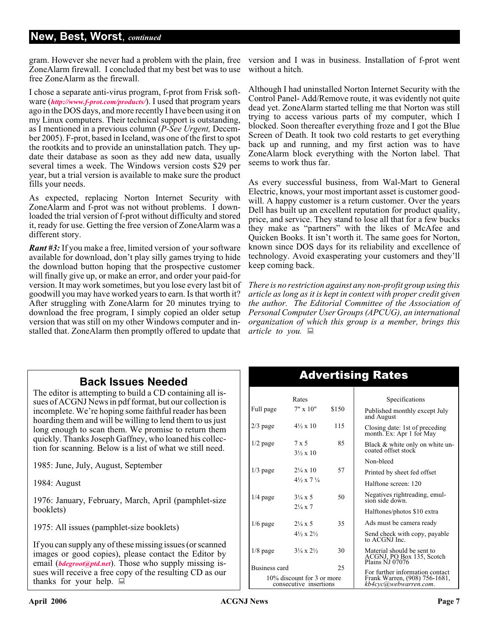# **New, Best, Worst**, *continued*

gram. However she never had a problem with the plain, free ZoneAlarm firewall. I concluded that my best bet was to use free ZoneAlarm as the firewall.

I chose a separate anti-virus program, f-prot from Frisk software (*<http://www.f-prot.com/products/>*). I used that program years ago in the DOS days, and more recently I have been using it on my Linux computers. Their technical support is outstanding, as I mentioned in a previous column (*P-See Urgent,* December 2005). F-prot, based in Iceland, was one of the first to spot the rootkits and to provide an uninstallation patch. They update their database as soon as they add new data, usually several times a week. The Windows version costs \$29 per year, but a trial version is available to make sure the product fills your needs.

As expected, replacing Norton Internet Security with ZoneAlarm and f-prot was not without problems. I downloaded the trial version of f-prot without difficulty and stored it, ready for use. Getting the free version of ZoneAlarm was a different story.

*Rant #3:* If you make a free, limited version of your software available for download, don't play silly games trying to hide the download button hoping that the prospective customer will finally give up, or make an error, and order your paid-for version. It may work sometimes, but you lose every last bit of goodwill you may have worked years to earn. Is that worth it? After struggling with ZoneAlarm for 20 minutes trying to download the free program, I simply copied an older setup version that was still on my other Windows computer and installed that. ZoneAlarm then promptly offered to update that *article to you.*

version and I was in business. Installation of f-prot went without a hitch.

Although I had uninstalled Norton Internet Security with the Control Panel- Add/Remove route, it was evidently not quite dead yet. ZoneAlarm started telling me that Norton was still trying to access various parts of my computer, which I blocked. Soon thereafter everything froze and I got the Blue Screen of Death. It took two cold restarts to get everything back up and running, and my first action was to have ZoneAlarm block everything with the Norton label. That seems to work thus far.

As every successful business, from Wal-Mart to General Electric, knows, your most important asset is customer goodwill. A happy customer is a return customer. Over the years Dell has built up an excellent reputation for product quality, price, and service. They stand to lose all that for a few bucks they make as "partners" with the likes of McAfee and Quicken Books. It isn't worth it. The same goes for Norton, known since DOS days for its reliability and excellence of technology. Avoid exasperating your customers and they'll keep coming back.

*There is no restriction against any non-profit group using this article as long as it is kept in context with proper credit given the author. The Editorial Committee of the Association of Personal Computer User Groups (APCUG), an international organization of which this group is a member, brings this*

# **Back Issues Needed**

The editor is attempting to build a CD containing all issues of ACGNJ News in pdf format, but our collection is incomplete. We're hoping some faithful reader has been hoarding them and will be willing to lend them to us just long enough to scan them. We promise to return them quickly. Thanks Joseph Gaffney, who loaned his collection for scanning. Below is a list of what we still need.

1985: June, July, August, September

1984: August

1976: January, February, March, April (pamphlet-size booklets)

1975: All issues (pamphlet-size booklets)

If you can supply any of these missing issues (or scanned images or good copies), please contact the Editor by email (*[bdegroot@ptd.net](mailto:bdegroot@ptd.net)*). Those who supply missing issues will receive a free copy of the resulting CD as our thanks for your help.  $\Box$ 

# Advertising Rates

| Rates                                                |                                          |       | Specifications                                                                            |  |
|------------------------------------------------------|------------------------------------------|-------|-------------------------------------------------------------------------------------------|--|
| Full page                                            | $7" \times 10"$                          | \$150 | Published monthly except July<br>and August                                               |  |
| $2/3$ page                                           | $4\frac{1}{2} \times 10$                 | 115   | Closing date: 1st of preceding<br>month. Ex: Apr 1 for May                                |  |
| $1/2$ page                                           | $7 \times 5$<br>$3\frac{1}{2} \times 10$ | 85    | Black & white only on white un-<br>coated offset stock                                    |  |
|                                                      |                                          |       | Non-bleed                                                                                 |  |
| $1/3$ page                                           | $2\frac{1}{4} \times 10$                 | 57    | Printed by sheet fed offset                                                               |  |
|                                                      | $4\frac{1}{2} \times 7\frac{1}{4}$       |       | Halftone screen: 120                                                                      |  |
| $1/4$ page                                           | $3\frac{1}{4} \times 5$                  | 50    | Negatives rightreading, emul-<br>sion side down.                                          |  |
|                                                      | $2\frac{1}{4} \times 7$                  |       | Halftones/photos \$10 extra                                                               |  |
| $1/6$ page                                           | $2\frac{1}{4} \times 5$                  | 35    | Ads must be camera ready                                                                  |  |
|                                                      | $4\frac{1}{2} \times 2\frac{1}{2}$       |       | Send check with copy, payable<br>to ACGNJ Inc.                                            |  |
| $1/8$ page                                           | $3\frac{1}{4} \times 2\frac{1}{2}$       | 30    | Material should be sent to<br>ACGNJ, PO Box 135, Scotch<br>Plains NJ 07076                |  |
| Business card                                        |                                          | 25    |                                                                                           |  |
| 10% discount for 3 or more<br>consecutive insertions |                                          |       | For further information contact<br>Frank Warren, (908) 756-1681,<br>kb4cyc@webwarren.com. |  |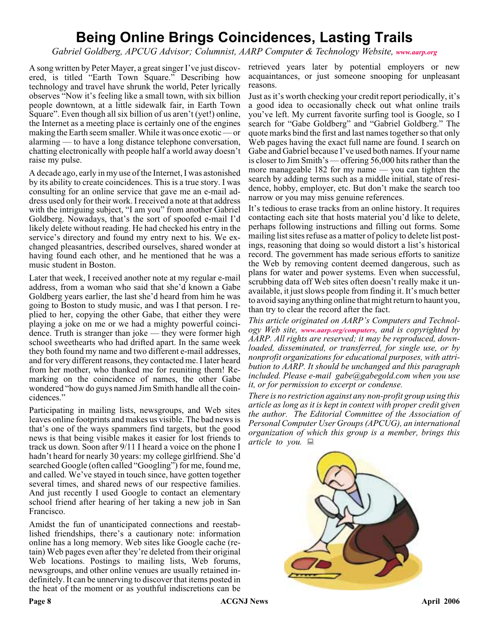# **Being Online Brings Coincidences, Lasting Trails**

*Gabriel Goldberg, APCUG Advisor; Columnist, AARP Computer & Technology Website, [www.aarp.org](http://www.aarp.org)*

A song written by Peter Mayer, a great singer I've just discovered, is titled "Earth Town Square." Describing how technology and travel have shrunk the world, Peter lyrically observes "Now it's feeling like a small town, with six billion people downtown, at a little sidewalk fair, in Earth Town Square". Even though all six billion of us aren't (yet!) online, the Internet as a meeting place is certainly one of the engines making the Earth seem smaller. While it was once exotic — or alarming — to have a long distance telephone conversation, chatting electronically with people half a world away doesn't raise my pulse.

A decade ago, early in my use of the Internet, I was astonished by its ability to create coincidences. This is a true story. I was consulting for an online service that gave me an e-mail address used only for their work. I received a note at that address with the intriguing subject, "I am you" from another Gabriel Goldberg. Nowadays, that's the sort of spoofed e-mail I'd likely delete without reading. He had checked his entry in the service's directory and found my entry next to his. We exchanged pleasantries, described ourselves, shared wonder at having found each other, and he mentioned that he was a music student in Boston.

Later that week, I received another note at my regular e-mail address, from a woman who said that she'd known a Gabe Goldberg years earlier, the last she'd heard from him he was going to Boston to study music, and was I that person. I replied to her, copying the other Gabe, that either they were playing a joke on me or we had a mighty powerful coincidence. Truth is stranger than joke — they were former high school sweethearts who had drifted apart. In the same week they both found my name and two different e-mail addresses, and for very different reasons, they contacted me. I later heard from her mother, who thanked me for reuniting them! Remarking on the coincidence of names, the other Gabe wondered "how do guys named Jim Smith handle all the coincidences."

Participating in mailing lists, newsgroups, and Web sites leaves online footprints and makes us visible. The bad news is that's one of the ways spammers find targets, but the good news is that being visible makes it easier for lost friends to track us down. Soon after 9/11 I heard a voice on the phone I hadn't heard for nearly 30 years: my college girlfriend. She'd searched Google (often called "Googling") for me, found me, and called. We've stayed in touch since, have gotten together several times, and shared news of our respective families. And just recently I used Google to contact an elementary school friend after hearing of her taking a new job in San Francisco.

Amidst the fun of unanticipated connections and reestablished friendships, there's a cautionary note: information online has a long memory. Web sites like Google cache (retain) Web pages even after they're deleted from their original Web locations. Postings to mailing lists, Web forums, newsgroups, and other online venues are usually retained indefinitely. It can be unnerving to discover that items posted in the heat of the moment or as youthful indiscretions can be

retrieved years later by potential employers or new acquaintances, or just someone snooping for unpleasant reasons.

Just as it's worth checking your credit report periodically, it's a good idea to occasionally check out what online trails you've left. My current favorite surfing tool is Google, so I search for "Gabe Goldberg" and "Gabriel Goldberg." The quote marks bind the first and last names together so that only Web pages having the exact full name are found. I search on Gabe and Gabriel because I've used both names. If your name is closer to Jim Smith's — offering 56,000 hits rather than the more manageable 182 for my name — you can tighten the search by adding terms such as a middle initial, state of residence, hobby, employer, etc. But don't make the search too narrow or you may miss genuine references.

It's tedious to erase tracks from an online history. It requires contacting each site that hosts material you'd like to delete, perhaps following instructions and filling out forms. Some mailing list sites refuse as a matter of policy to delete list postings, reasoning that doing so would distort a list's historical record. The government has made serious efforts to sanitize the Web by removing content deemed dangerous, such as plans for water and power systems. Even when successful, scrubbing data off Web sites often doesn't really make it unavailable, it just slows people from finding it. It's much better to avoid saying anything online that might return to haunt you, than try to clear the record after the fact.

*This article originated on AARP's Computers and Technology Web site, [www.aarp.org/computers](http://www.aarp.org/computers), and is copyrighted by AARP. All rights are reserved; it may be reproduced, downloaded, disseminated, or transferred, for single use, or by nonprofit organizations for educational purposes, with attribution to AARP. It should be unchanged and this paragraph included. Please e-mail gabe@gabegold.com when you use it, or for permission to excerpt or condense.*

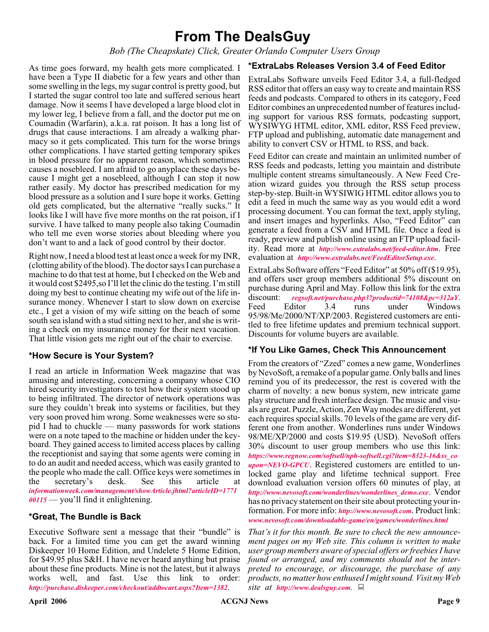# **From The DealsGuy**

*Bob (The Cheapskate) Click, Greater Orlando Computer Users Group*

As time goes forward, my health gets more complicated. I have been a Type II diabetic for a few years and other than some swelling in the legs, my sugar control is pretty good, but I started the sugar control too late and suffered serious heart damage. Now it seems I have developed a large blood clot in my lower leg, I believe from a fall, and the doctor put me on Coumadin (Warfarin), a.k.a. rat poison. It has a long list of drugs that cause interactions. I am already a walking pharmacy so it gets complicated. This turn for the worse brings other complications. I have started getting temporary spikes in blood pressure for no apparent reason, which sometimes causes a nosebleed. I am afraid to go anyplace these days because I might get a nosebleed, although I can stop it now rather easily. My doctor has prescribed medication for my blood pressure as a solution and I sure hope it works. Getting old gets complicated, but the alternative "really sucks." It looks like I will have five more months on the rat poison, if I survive. I have talked to many people also taking Coumadin who tell me even worse stories about bleeding where you don't want to and a lack of good control by their doctor.

Right now, I need a blood test at least once a week for my INR, (clotting ability of the blood). The doctor says I can purchase a machine to do that test at home, but I checked on the Web and it would cost \$2495,so I'll let the clinic do the testing. I'm still doing my best to continue cheating my wife out of the life insurance money. Whenever I start to slow down on exercise etc., I get a vision of my wife sitting on the beach of some south sea island with a stud sitting next to her, and she is writing a check on my insurance money for their next vacation. That little vision gets me right out of the chair to exercise.

# **\*How Secure is Your System?**

I read an article in Information Week magazine that was amusing and interesting, concerning a company whose CIO hired security investigators to test how their system stood up to being infiltrated. The director of network operations was sure they couldn't break into systems or facilities, but they very soon proved him wrong. Some weaknesses were so stupid I had to chuckle — many passwords for work stations were on a note taped to the machine or hidden under the keyboard. They gained access to limited access places by calling the receptionist and saying that some agents were coming in to do an audit and needed access, which was easily granted to the people who made the call. Office keys were sometimes in<br>the secretary's desk. See this article at the secretary's desk. See this article at *[informationweek.com/management/showArticle.jhtml?articleID=1771](http://www.informationweek.com/management/showArticle.jhtml?articleID=177100115) 00115* — you'll find it enlightening.

# **\*Great, The Bundle is Back**

Executive Software sent a message that their "bundle" is back. For a limited time you can get the award winning Diskeeper 10 Home Edition, and Undelete 5 Home Edition, for \$49.95 plus S&H. I have never heard anything but praise about these fine products. Mine is not the latest, but it always works well, and fast. Use this link to order: *<http://purchase.diskeeper.com/checkout/addtocart.aspx?Item=1382>*.

# **\*ExtraLabs Releases Version 3.4 of Feed Editor**

ExtraLabs Software unveils Feed Editor 3.4, a full-fledged RSS editor that offers an easy way to create and maintain RSS feeds and podcasts. Compared to others in its category, Feed Editor combines an unprecedented number of features including support for various RSS formats, podcasting support, WYSIWYG HTML editor, XML editor, RSS Feed preview, FTP upload and publishing, automatic date management and ability to convert CSV or HTML to RSS, and back.

Feed Editor can create and maintain an unlimited number of RSS feeds and podcasts, letting you maintain and distribute multiple content streams simultaneously. A New Feed Creation wizard guides you through the RSS setup process step-by-step. Built-in WYSIWIG HTML editor allows you to edit a feed in much the same way as you would edit a word processing document. You can format the text, apply styling, and insert images and hyperlinks. Also, "Feed Editor" can generate a feed from a CSV and HTML file. Once a feed is ready, preview and publish online using an FTP upload facility. Read more at *<http://www.extralabs.net/feed-editor.htm>*. Free evaluation at *<http://www.extralabs.net/FeedEditorSetup.exe>*.

ExtraLabs Software offers "Feed Editor" at 50% off (\$19.95), and offers user group members additional 5% discount on purchase during April and May. Follow this link for the extra discount: *[regsoft.net/purchase.php3?productid=74108&pc=312aY](http://www.regsoft.net/purchase.php3?productid=74108&pc=312aY)*. Feed Editor 3.4 runs under Windows 95/98/Me/2000/NT/XP/2003. Registered customers are entitled to free lifetime updates and premium technical support. Discounts for volume buyers are available.

#### **\*If You Like Games, Check This Announcement**

From the creators of "Zzed" comes a new game, Wonderlines by NevoSoft, a remake of a popular game. Only balls and lines remind you of its predecessor, the rest is covered with the charm of novelty: a new bonus system, new intricate game play structure and fresh interface design. The music and visuals are great. Puzzle, Action, Zen Way modes are different, yet each requires special skills. 70 levels of the game are very different one from another. Wonderlines runs under Windows 98/ME/XP/2000 and costs \$19.95 (USD). NevoSoft offers 30% discount to user group members who use this link: *[https://www.regnow.com/softsell/nph-softsell.cgi?item=8323-16&ss\\_co](https://www.regnow.com/softsell/nph-softsell.cgi?item=8323-16&ss_coupon=NEVO-GPCU) upon=NEVO-GPCU*. Registered customers are entitled to unlocked game play and lifetime technical support. Free download evaluation version offers 60 minutes of play, at *[http://www.nevosoft.com/wonderlines/wonderlines\\_demo.exe](http://www.nevosoft.com/wonderlines/wonderlines_demo.exe)*. Vendor has no privacy statement on their site about protecting your information. For more info: *<http://www.nevosoft.com>*. Product link: *[www.nevosoft.com/downloadable-game/en/games/wonderlines.html](http://www.nevosoft.com/downloadable-game/en/games/wonderlines.html)*

*That's it for this month. Be sure to check the new announcement pages on my Web site. This column is written to make user group members aware of special offers or freebies I have found or arranged, and my comments should not be interpreted to encourage, or discourage, the purchase of any products, no matter how enthused I might sound. Visit my Web site at <http://www.dealsguy.com>.*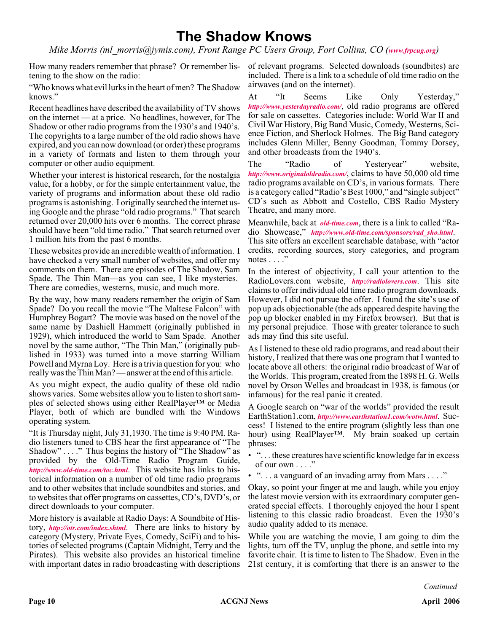# **The Shadow Knows**

*Mike Morris (ml\_morris@jymis.com), Front Range PC Users Group, Fort Collins, CO ([www.frpcug.org](http://www.frpcug.org))*

How many readers remember that phrase? Or remember lis-of relevant programs. Selected downloads (soundbites) are tening to the show on the radio:

"Who knows what evil lurks in the heart of men? The Shadow knows."

Recent headlines have described the availability of TV shows on the internet — at a price. No headlines, however, for The Shadow or other radio programs from the 1930's and 1940's. The copyrights to a large number of the old radio shows have expired, and you can now download (or order) these programs in a variety of formats and listen to them through your computer or other audio equipment.

Whether your interest is historical research, for the nostalgia value, for a hobby, or for the simple entertainment value, the variety of programs and information about these old radio programs is astonishing. I originally searched the internet using Google and the phrase "old radio programs." That search returned over 20,000 hits over 6 months. The correct phrase should have been "old time radio." That search returned over 1 million hits from the past 6 months.

These websites provide an incredible wealth of information. I have checked a very small number of websites, and offer my comments on them. There are episodes of The Shadow, Sam Spade, The Thin Man—as you can see, I like mysteries. There are comedies, westerns, music, and much more.

By the way, how many readers remember the origin of Sam Spade? Do you recall the movie "The Maltese Falcon" with Humphrey Bogart? The movie was based on the novel of the same name by Dashiell Hammett (originally published in 1929), which introduced the world to Sam Spade. Another novel by the same author, "The Thin Man," (originally published in 1933) was turned into a move starring William Powell and Myrna Loy. Here is a trivia question for you: who really was the Thin Man? — answer at the end of this article.

As you might expect, the audio quality of these old radio shows varies. Some websites allow you to listen to short samples of selected shows using either RealPlayer™ or Media Player, both of which are bundled with the Windows operating system.

"It is Thursday night, July 31,1930. The time is 9:40 PM. Radio listeners tuned to CBS hear the first appearance of "The Shadow" . . . ." Thus begins the history of "The Shadow" as provided by the Old-Time Radio Program Guide, *<http://www.old-time.com/toc.html>*. This website has links to historical information on a number of old time radio programs and to other websites that include soundbites and stories, and to websites that offer programs on cassettes, CD's, DVD's, or direct downloads to your computer.

More history is available at Radio Days: A Soundbite of History, *<http://otr.com/index.shtml>*. There are links to history by category (Mystery, Private Eyes, Comedy, SciFi) and to histories of selected programs (Captain Midnight, Terry and the Pirates). This website also provides an historical timeline with important dates in radio broadcasting with descriptions

included. There is a link to a schedule of old time radio on the airwaves (and on the internet).

At "It Seems Like Only Yesterday," *<http://www.yesterdayradio.com/>*, old radio programs are offered for sale on cassettes. Categories include: World War II and Civil War History, Big Band Music, Comedy, Westerns, Science Fiction, and Sherlock Holmes. The Big Band category includes Glenn Miller, Benny Goodman, Tommy Dorsey, and other broadcasts from the 1940's.

The "Radio of Yesteryear" website, *<http://www.originaloldradio.com/>*, claims to have 50,000 old time radio programs available on CD's, in various formats. There is a category called "Radio's Best 1000," and "single subject" CD's such as Abbott and Costello, CBS Radio Mystery Theatre, and many more.

Meanwhile, back at *[old-time.com](http://old-time.com)*, there is a link to called "Radio Showcase," *[http://www.old-time.com/sponsors/rad\\_sho.html](http://www.old-time.com/sponsors/rad_sho.html)*. This site offers an excellent searchable database, with "actor credits, recording sources, story categories, and program notes  $\dots$ ."

In the interest of objectivity, I call your attention to the RadioLovers.com website, *<http://radiolovers.com>*. This site claims to offer individual old time radio program downloads. However, I did not pursue the offer. I found the site's use of pop up ads objectionable (the ads appeared despite having the pop up blocker enabled in my Firefox browser). But that is my personal prejudice. Those with greater tolerance to such ads may find this site useful.

As I listened to these old radio programs, and read about their history, I realized that there was one program that I wanted to locate above all others: the original radio broadcast of War of the Worlds. This program, created from the 1898 H. G. Wells novel by Orson Welles and broadcast in 1938, is famous (or infamous) for the real panic it created.

A Google search on "war of the worlds" provided the result EarthStation1.com, *<http://www.earthstation1.com/wotw.html>*. Success! I listened to the entire program (slightly less than one hour) using RealPlayer™. My brain soaked up certain phrases:

- ". . . these creatures have scientific knowledge far in excess of our own . . . ."
- "... a vanguard of an invading army from Mars ...."

Okay, so point your finger at me and laugh, while you enjoy the latest movie version with its extraordinary computer generated special effects. I thoroughly enjoyed the hour I spent listening to this classic radio broadcast. Even the 1930's audio quality added to its menace.

While you are watching the movie, I am going to dim the lights, turn off the TV, unplug the phone, and settle into my favorite chair. It is time to listen to The Shadow. Even in the 21st century, it is comforting that there is an answer to the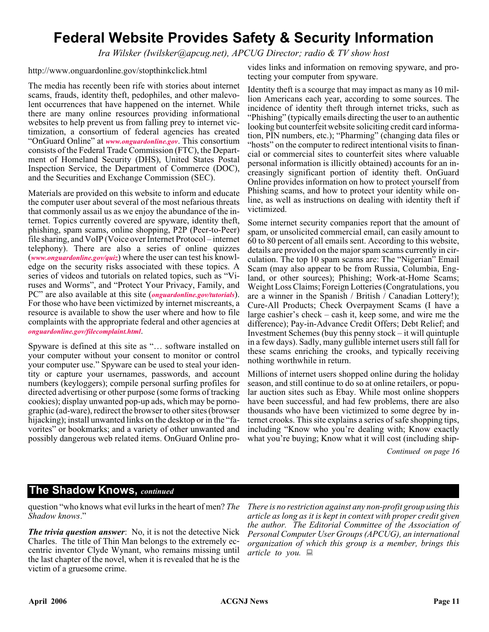# **Federal Website Provides Safety & Security Information**

*Ira Wilsker (Iwilsker@apcug.net), APCUG Director; radio & TV show host*

http://www.onguardonline.gov/stopthinkclick.html

The media has recently been rife with stories about internet scams, frauds, identity theft, pedophiles, and other malevolent occurrences that have happened on the internet. While there are many online resources providing informational websites to help prevent us from falling prey to internet victimization, a consortium of federal agencies has created "OnGuard Online" at *[www.onguardonline.gov](http://www.onguardonline.gov)*. This consortium consists of the Federal Trade Commission (FTC), the Department of Homeland Security (DHS), United States Postal Inspection Service, the Department of Commerce (DOC), and the Securities and Exchange Commission (SEC).

Materials are provided on this website to inform and educate the computer user about several of the most nefarious threats that commonly assail us as we enjoy the abundance of the internet. Topics currently covered are spyware, identity theft, phishing, spam scams, online shopping, P2P (Peer-to-Peer) file sharing, and VoIP (Voice over Internet Protocol – internet telephony). There are also a series of online quizzes (*[www.onguardonline.gov/quiz](http://www.onguardonline.gov/quiz)*) where the user can test his knowledge on the security risks associated with these topics. A series of videos and tutorials on related topics, such as "Viruses and Worms", and "Protect Your Privacy, Family, and PC" are also available at this site (*[onguardonline.gov/tutorials](http://)*). For those who have been victimized by internet miscreants, a resource is available to show the user where and how to file complaints with the appropriate federal and other agencies at *[onguardonline.gov/filecomplaint.html](http://)*.

Spyware is defined at this site as "… software installed on your computer without your consent to monitor or control your computer use." Spyware can be used to steal your identity or capture your usernames, passwords, and account numbers (keyloggers); compile personal surfing profiles for directed advertising or other purpose (some forms of tracking cookies); display unwanted pop-up ads, which may be pornographic (ad-ware), redirect the browser to other sites (browser hijacking); install unwanted links on the desktop or in the "favorites" or bookmarks; and a variety of other unwanted and possibly dangerous web related items. OnGuard Online pro-

vides links and information on removing spyware, and protecting your computer from spyware.

Identity theft is a scourge that may impact as many as 10 million Americans each year, according to some sources. The incidence of identity theft through internet tricks, such as "Phishing" (typically emails directing the user to an authentic looking but counterfeit website soliciting credit card information, PIN numbers, etc.); "Pharming" (changing data files or "hosts" on the computer to redirect intentional visits to financial or commercial sites to counterfeit sites where valuable personal information is illicitly obtained) accounts for an increasingly significant portion of identity theft. OnGuard Online provides information on how to protect yourself from Phishing scams, and how to protect your identity while online, as well as instructions on dealing with identity theft if victimized.

Some internet security companies report that the amount of spam, or unsolicited commercial email, can easily amount to 60 to 80 percent of all emails sent. According to this website, details are provided on the major spam scams currently in circulation. The top 10 spam scams are: The "Nigerian" Email Scam (may also appear to be from Russia, Columbia, England, or other sources); Phishing; Work-at-Home Scams; Weight Loss Claims; Foreign Lotteries (Congratulations, you are a winner in the Spanish / British / Canadian Lottery!); Cure-All Products; Check Overpayment Scams (I have a large cashier's check – cash it, keep some, and wire me the difference); Pay-in-Advance Credit Offers; Debt Relief; and Investment Schemes (buy this penny stock – it will quintuple in a few days). Sadly, many gullible internet users still fall for these scams enriching the crooks, and typically receiving nothing worthwhile in return.

Millions of internet users shopped online during the holiday season, and still continue to do so at online retailers, or popular auction sites such as Ebay. While most online shoppers have been successful, and had few problems, there are also thousands who have been victimized to some degree by internet crooks. This site explains a series of safe shopping tips, including "Know who you're dealing with; Know exactly what you're buying; Know what it will cost (including ship-

*Continued on page 16*

# **The Shadow Knows,** *continued*

question "who knows what evil lurks in the heart of men? *The Shadow knows*."

*The trivia question answer*: No, it is not the detective Nick Charles. The title of Thin Man belongs to the extremely eccentric inventor Clyde Wynant, who remains missing until the last chapter of the novel, when it is revealed that he is the victim of a gruesome crime.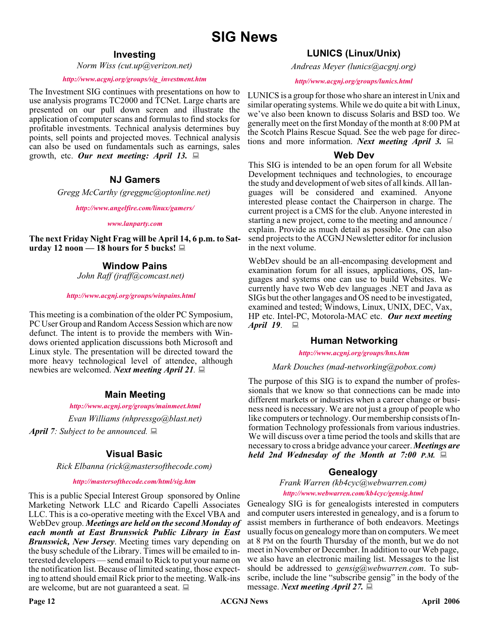# **Investing**

*Norm Wiss (cut.up@verizon.net)*

#### *[http://www.acgnj.org/groups/sig\\_investment.htm](http://www.acgnj.org/groups/sig_investment.htm)*

The Investment SIG continues with presentations on how to use analysis programs TC2000 and TCNet. Large charts are presented on our pull down screen and illustrate the application of computer scans and formulas to find stocks for profitable investments. Technical analysis determines buy points, sell points and projected moves. Technical analysis can also be used on fundamentals such as earnings, sales growth, etc. *Our next meeting: April 13.*

### **NJ Gamers**

*Gregg McCarthy (greggmc@optonline.net)*

*<http://www.angelfire.com/linux/gamers/>*

#### *[www.lanparty.com](http://www.lanparty.com)*

**The next Friday Night Frag will be April 14, 6 p.m. to Saturday 12 noon — 18 hours for 5 bucks!**

### **Window Pains**

*John Raff (jraff@comcast.net)*

#### *<http://www.acgnj.org/groups/winpains.html>*

This meeting is a combination of the older PC Symposium, PC User Group and Random Access Session which are now defunct. The intent is to provide the members with Windows oriented application discussions both Microsoft and Linux style. The presentation will be directed toward the more heavy technological level of attendee, although newbies are welcomed. *Next meeting April 21.*

#### **Main Meeting**

#### *<http://www.acgnj.org/groups/mainmeet.html>*

*Evan Williams (nhpressgo@blast.net)*

*April 7: Subject to be announced.*

# **Visual Basic**

*Rick Elbanna (rick@mastersofthecode.com)*

#### *<http://mastersofthecode.com/html/sig.htm>*

This is a public Special Interest Group sponsored by Online Marketing Network LLC and Ricardo Capelli Associates LLC. This is a co-operative meeting with the Excel VBA and WebDev group. *Meetings are held on the second Monday of each month at East Brunswick Public Library in East Brunswick, New Jersey*. Meeting times vary depending on the busy schedule of the Library. Times will be emailed to interested developers — send email to Rick to put your name on the notification list. Because of limited seating, those expecting to attend should email Rick prior to the meeting. Walk-ins are welcome, but are not guaranteed a seat.

*Andreas Meyer (lunics@acgnj.org)*

#### *<http//www.acgnj.org/groups/lunics.html>*

LUNICS is a group for those who share an interest in Unix and similar operating systems. While we do quite a bit with Linux, we've also been known to discuss Solaris and BSD too. We generally meet on the first Monday of the month at 8:00 PM at the Scotch Plains Rescue Squad. See the web page for directions and more information. *Next meeting April 3.*

#### **Web Dev**

This SIG is intended to be an open forum for all Website Development techniques and technologies, to encourage the study and development of web sites of all kinds. All languages will be considered and examined. Anyone interested please contact the Chairperson in charge. The current project is a CMS for the club. Anyone interested in starting a new project, come to the meeting and announce / explain. Provide as much detail as possible. One can also send projects to the ACGNJ Newsletter editor for inclusion in the next volume.

WebDev should be an all-encompasing development and examination forum for all issues, applications, OS, languages and systems one can use to build Websites. We currently have two Web dev languages .NET and Java as SIGs but the other langages and OS need to be investigated, examined and tested; Windows, Linux, UNIX, DEC, Vax, HP etc. Intel-PC, Motorola-MAC etc. *Our next meeting April 19.* ■

# **Human Networking**

*<http://www.acgnj.org/groups/hns.htm>*

#### *Mark Douches (mad-networking@pobox.com)*

The purpose of this SIG is to expand the number of professionals that we know so that connections can be made into different markets or industries when a career change or business need is necessary. We are not just a group of people who like computers or technology. Our membership consists of Information Technology professionals from various industries. We will discuss over a time period the tools and skills that are necessary to cross a bridge advance your career. *Meetings are held 2nd Wednesday of the Month at 7:00 P.M.*

# **Genealogy**

*Frank Warren (kb4cyc@webwarren.com) <http://www.webwarren.com/kb4cyc/gensig.html>*

Genealogy SIG is for genealogists interested in computers and computer users interested in genealogy, and is a forum to assist members in furtherance of both endeavors. Meetings usually focus on genealogy more than on computers. We meet at 8 PM on the fourth Thursday of the month, but we do not meet in November or December. In addition to our Web page, we also have an electronic mailing list. Messages to the list should be addressed to *gensig@webwarren.com*. To subscribe, include the line "subscribe gensig" in the body of the message. *Next meeting April 27.*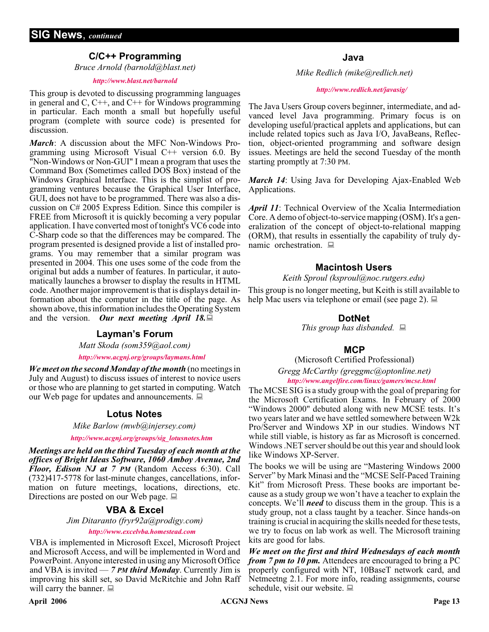# **C/C++ Programming**

*Bruce Arnold (barnold@blast.net)*

#### *<http://www.blast.net/barnold>*

This group is devoted to discussing programming languages in general and  $C$ ,  $C++$ , and  $C++$  for Windows programming in particular. Each month a small but hopefully useful program (complete with source code) is presented for discussion.

*March*: A discussion about the MFC Non-Windows Programming using Microsoft Visual C++ version 6.0. By "Non-Windows or Non-GUI" I mean a program that uses the Command Box (Sometimes called DOS Box) instead of the Windows Graphical Interface. This is the simplist of programming ventures because the Graphical User Interface, GUI, does not have to be programmed. There was also a discussion on C# 2005 Express Edition. Since this compiler is FREE from Microsoft it is quickly becoming a very popular application. I have converted most of tonight's VC6 code into C-Sharp code so that the differences may be compared. The program presented is designed provide a list of installed programs. You may remember that a similar program was presented in 2004. This one uses some of the code from the original but adds a number of features. In particular, it automatically launches a browser to display the results in HTML code. Another major improvement is that is displays detail information about the computer in the title of the page. As shown above, this information includes the Operating System and the version. *Our next meeting April 18.*

*Matt Skoda (som359@aol.com)*

*<http://www.acgnj.org/groups/laymans.html>*

*We meet on the second Monday of the month* (no meetings in July and August) to discuss issues of interest to novice users or those who are planning to get started in computing. Watch our Web page for updates and announcements.  $\Box$ 

#### **Lotus Notes**

*Mike Barlow (mwb@injersey.com)*

*[http://www.acgnj.org/groups/sig\\_lotusnotes.htm](http://www.acgnj.org/groups/sig_lotusnotes.htm)*

*Meetings are held on the third Tuesday of each month at the offices of Bright Ideas Software, 1060 Amboy Avenue, 2nd Floor, Edison NJ at 7 PM* (Random Access 6:30). Call (732)417-5778 for last-minute changes, cancellations, information on future meetings, locations, directions, etc. Directions are posted on our Web page.  $\Box$ 

# **VBA & Excel**

*Jim Ditaranto (fryr92a@prodigy.com)*

#### *<http://www.excelvba.homestead.com>*

VBA is implemented in Microsoft Excel, Microsoft Project and Microsoft Access, and will be implemented in Word and PowerPoint. Anyone interested in using any Microsoft Office and VBA is invited — *7 PM third Monday*. Currently Jim is improving his skill set, so David McRitchie and John Raff will carry the banner.  $\Box$ 

*Mike Redlich (mike@redlich.net)*

#### *<http://www.redlich.net/javasig/>*

The Java Users Group covers beginner, intermediate, and advanced level Java programming. Primary focus is on developing useful/practical applets and applications, but can include related topics such as Java I/O, JavaBeans, Reflection, object-oriented programming and software design issues. Meetings are held the second Tuesday of the month starting promptly at 7:30 PM.

*March 14*: Using Java for Developing Ajax-Enabled Web Applications.

*April 11*: Technical Overview of the Xcalia Intermediation Core. A demo of object-to-service mapping (OSM). It's a generalization of the concept of object-to-relational mapping (ORM), that results in essentially the capability of truly dynamic orchestration.  $\Box$ 

### **Macintosh Users**

*Keith Sproul (ksproul@noc.rutgers.edu)*

This group is no longer meeting, but Keith is still available to help Mac users via telephone or email (see page 2).  $\Box$ 

### **DotNet**

*This group has disbanded.* **Layman's Forum**

#### **MCP**

(Microsoft Certified Professional)

*Gregg McCarthy (greggmc@optonline.net) <http://www.angelfire.com/linux/gamers/mcse.html>*

The MCSE SIG is a study group with the goal of preparing for the Microsoft Certification Exams. In February of 2000 "Windows 2000" debuted along with new MCSE tests. It's two years later and we have settled somewhere between W2k Pro/Server and Windows XP in our studies. Windows NT while still viable, is history as far as Microsoft is concerned. Windows .NET server should be out this year and should look like Windows XP-Server.

The books we will be using are "Mastering Windows 2000 Server" by Mark Minasi and the "MCSE Self-Paced Training Kit" from Microsoft Press. These books are important because as a study group we won't have a teacher to explain the concepts. We'll *need* to discuss them in the group. This is a study group, not a class taught by a teacher. Since hands-on training is crucial in acquiring the skills needed for these tests, we try to focus on lab work as well. The Microsoft training kits are good for labs.

*We meet on the first and third Wednesdays of each month from 7 pm to 10 pm.* Attendees are encouraged to bring a PC properly configured with NT, 10BaseT network card, and Netmeetng 2.1. For more info, reading assignments, course schedule, visit our website.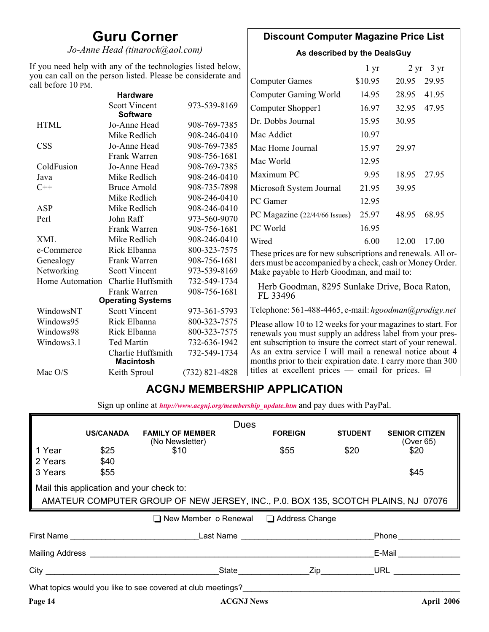# **Guru Corner**

*Jo-Anne Head (tinarock@aol.com)*

# **Discount Computer Magazine Price List**

**As described by the DealsGuy**

| If you need help with any of the technologies listed below,                        |                                         |                  | 1 <sub>yr</sub>                                                                                                          |         | $2 \text{ yr}$ 3 yr |       |  |
|------------------------------------------------------------------------------------|-----------------------------------------|------------------|--------------------------------------------------------------------------------------------------------------------------|---------|---------------------|-------|--|
| you can call on the person listed. Please be considerate and<br>call before 10 PM. |                                         |                  | <b>Computer Games</b>                                                                                                    | \$10.95 | 20.95               | 29.95 |  |
|                                                                                    | <b>Hardware</b>                         |                  | <b>Computer Gaming World</b>                                                                                             | 14.95   | 28.95               | 41.95 |  |
|                                                                                    | <b>Scott Vincent</b><br><b>Software</b> | 973-539-8169     | Computer Shopper1                                                                                                        | 16.97   | 32.95               | 47.95 |  |
| <b>HTML</b>                                                                        | Jo-Anne Head                            | 908-769-7385     | Dr. Dobbs Journal                                                                                                        | 15.95   | 30.95               |       |  |
|                                                                                    | Mike Redlich                            | 908-246-0410     | Mac Addict                                                                                                               | 10.97   |                     |       |  |
| <b>CSS</b>                                                                         | Jo-Anne Head                            | 908-769-7385     | Mac Home Journal                                                                                                         | 15.97   | 29.97               |       |  |
|                                                                                    | Frank Warren                            | 908-756-1681     | Mac World                                                                                                                | 12.95   |                     |       |  |
| ColdFusion                                                                         | Jo-Anne Head                            | 908-769-7385     |                                                                                                                          |         |                     |       |  |
| Java                                                                               | Mike Redlich                            | 908-246-0410     | Maximum PC                                                                                                               | 9.95    | 18.95               | 27.95 |  |
| $C++$                                                                              | <b>Bruce Arnold</b>                     | 908-735-7898     | Microsoft System Journal                                                                                                 | 21.95   | 39.95               |       |  |
|                                                                                    | Mike Redlich                            | 908-246-0410     | PC Gamer                                                                                                                 | 12.95   |                     |       |  |
| ASP                                                                                | Mike Redlich                            | 908-246-0410     |                                                                                                                          | 25.97   |                     | 68.95 |  |
| Perl                                                                               | John Raff                               | 973-560-9070     | PC Magazine (22/44/66 Issues)                                                                                            |         | 48.95               |       |  |
|                                                                                    | Frank Warren                            | 908-756-1681     | PC World                                                                                                                 | 16.95   |                     |       |  |
| <b>XML</b>                                                                         | Mike Redlich                            | 908-246-0410     | Wired                                                                                                                    | 6.00    | 12.00               | 17.00 |  |
| e-Commerce                                                                         | Rick Elbanna                            | 800-323-7575     | These prices are for new subscriptions and renewals. All or-                                                             |         |                     |       |  |
| Frank Warren<br>Genealogy                                                          |                                         | 908-756-1681     | ders must be accompanied by a check, cash or Money Order.                                                                |         |                     |       |  |
| Networking                                                                         | <b>Scott Vincent</b>                    | 973-539-8169     | Make payable to Herb Goodman, and mail to:                                                                               |         |                     |       |  |
| Home Automation                                                                    | Charlie Huffsmith                       | 732-549-1734     |                                                                                                                          |         |                     |       |  |
|                                                                                    | Frank Warren                            | 908-756-1681     | Herb Goodman, 8295 Sunlake Drive, Boca Raton,<br>FL 33496                                                                |         |                     |       |  |
|                                                                                    | <b>Operating Systems</b>                |                  |                                                                                                                          |         |                     |       |  |
| WindowsNT                                                                          | <b>Scott Vincent</b>                    | 973-361-5793     | Telephone: 561-488-4465, e-mail: hgoodman@prodigy.net                                                                    |         |                     |       |  |
| Windows95                                                                          | Rick Elbanna                            | 800-323-7575     | Please allow 10 to 12 weeks for your magazines to start. For                                                             |         |                     |       |  |
| Windows98                                                                          | Rick Elbanna                            | 800-323-7575     | renewals you must supply an address label from your pres-                                                                |         |                     |       |  |
| Windows3.1                                                                         | <b>Ted Martin</b>                       | 732-636-1942     | ent subscription to insure the correct start of your renewal.                                                            |         |                     |       |  |
|                                                                                    | Charlie Huffsmith<br><b>Macintosh</b>   | 732-549-1734     | As an extra service I will mail a renewal notice about 4<br>months prior to their expiration date. I carry more than 300 |         |                     |       |  |
| Mac O/S                                                                            | Keith Sproul                            | $(732)$ 821-4828 | titles at excellent prices — email for prices. $\Box$                                                                    |         |                     |       |  |

# **ACGNJ MEMBERSHIP APPLICATION**

Sign up online at *[http://www.acgnj.org/membership\\_update.htm](http://www.acgnj.org/membership_update.htm )* and pay dues with PayPal.

|                                          | <b>Dues</b>      |                                                             |                                                                                                                     |                |                                    |
|------------------------------------------|------------------|-------------------------------------------------------------|---------------------------------------------------------------------------------------------------------------------|----------------|------------------------------------|
|                                          | <b>US/CANADA</b> | <b>FAMILY OF MEMBER</b><br>(No Newsletter)                  | <b>FOREIGN</b>                                                                                                      | <b>STUDENT</b> | <b>SENIOR CITIZEN</b><br>(Over 65) |
| 1 Year                                   | \$25             | \$10                                                        | \$55                                                                                                                | \$20           | \$20                               |
| 2 Years                                  | \$40             |                                                             |                                                                                                                     |                |                                    |
| 3 Years                                  | \$55             |                                                             |                                                                                                                     |                | \$45                               |
| Mail this application and your check to: |                  |                                                             |                                                                                                                     |                |                                    |
|                                          |                  |                                                             | AMATEUR COMPUTER GROUP OF NEW JERSEY, INC., P.O. BOX 135, SCOTCH PLAINS, NJ 07076                                   |                |                                    |
|                                          |                  |                                                             |                                                                                                                     |                |                                    |
|                                          |                  |                                                             | $\Box$ New Member o Renewal $\Box$ Address Change                                                                   |                |                                    |
|                                          |                  |                                                             | First Name <b>Example 2.1 According to Example 2.1 According Last Name Example 2.1 According to According the U</b> |                | Phone                              |
|                                          |                  | Mailing Address <b>Mailing</b> Address <b>Mailing</b>       |                                                                                                                     |                | E-Mail                             |
|                                          |                  |                                                             | State Zip                                                                                                           |                | URL <b>New York Street</b>         |
|                                          |                  | What topics would you like to see covered at club meetings? |                                                                                                                     |                |                                    |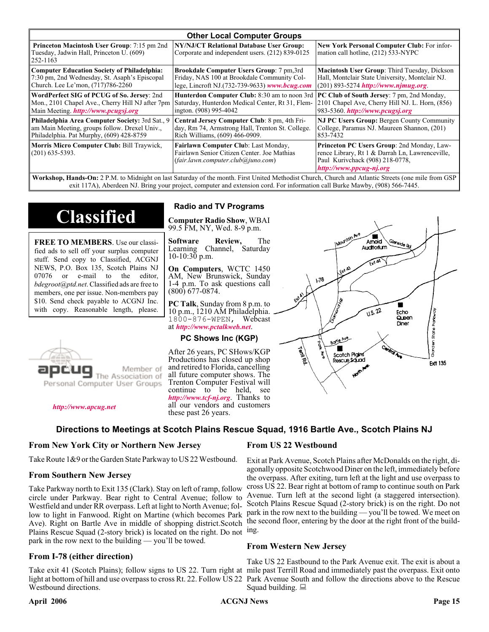| <b>Other Local Computer Groups</b>                                                                         |                                                                                                                           |                                                                                                                                                             |  |  |  |
|------------------------------------------------------------------------------------------------------------|---------------------------------------------------------------------------------------------------------------------------|-------------------------------------------------------------------------------------------------------------------------------------------------------------|--|--|--|
| <b>Princeton Macintosh User Group:</b> 7:15 pm 2nd<br>Tuesday, Jadwin Hall, Princeton U. (609)<br>252-1163 | NY/NJ/CT Relational Database User Group:<br>Corporate and independent users. (212) 839-0125                               | New York Personal Computer Club: For infor-<br>mation call hotline, (212) 533-NYPC                                                                          |  |  |  |
| <b>Computer Education Society of Philadelphia:</b>                                                         | <b>Brookdale Computer Users Group:</b> 7 pm, 3rd                                                                          | Macintosh User Group: Third Tuesday, Dickson                                                                                                                |  |  |  |
| 7:30 pm, 2nd Wednesday, St. Asaph's Episcopal                                                              | Friday, NAS 100 at Brookdale Community Col-                                                                               | Hall, Montclair State University, Montclair NJ.                                                                                                             |  |  |  |
| Church. Lee Le'mon, (717)786-2260                                                                          | lege, Lincroft NJ.(732-739-9633) www.bcug.com                                                                             | $(201) 893 - 5274$ http://www.njmug.org                                                                                                                     |  |  |  |
| WordPerfect SIG of PCUG of So. Jersey: 2nd                                                                 | <b>Hunterdon Computer Club:</b> 8:30 am to noon 3rd                                                                       | <b>PC Club of South Jersey:</b> 7 pm, 2nd Monday,                                                                                                           |  |  |  |
| Mon., 2101 Chapel Ave., Cherry Hill NJ after 7pm                                                           | Saturday, Hunterdon Medical Center, Rt 31, Flem-                                                                          | 2101 Chapel Ave, Cherry Hill NJ. L. Horn, (856)                                                                                                             |  |  |  |
| Main Meeting. <i>http://www.pcugsj.org</i>                                                                 | ington. (908) 995-4042                                                                                                    | 983-5360. http://www.pcugsj.org                                                                                                                             |  |  |  |
| Philadelphia Area Computer Society: 3rd Sat., 9                                                            | Central Jersey Computer Club: 8 pm, 4th Fri-                                                                              | <b>NJ PC Users Group: Bergen County Community</b>                                                                                                           |  |  |  |
| am Main Meeting, groups follow. Drexel Univ.,                                                              | day, Rm 74, Armstrong Hall, Trenton St. College.                                                                          | College, Paramus NJ. Maureen Shannon, (201)                                                                                                                 |  |  |  |
| Philadelphia. Pat Murphy, (609) 428-8759                                                                   | Rich Williams, (609) 466-0909.                                                                                            | 853-7432                                                                                                                                                    |  |  |  |
| Morris Micro Computer Club: Bill Traywick,<br>$(201)$ 635-5393.                                            | Fairlawn Computer Club: Last Monday,<br>Fairlawn Senior Citizen Center. Joe Mathias<br>(fair.lawn.computer.club@juno.com) | Princeton PC Users Group: 2nd Monday, Law-<br>rence Library, Rt 1 & Darrah Ln, Lawrenceville,<br>Paul Kurivchack (908) 218-0778,<br>http://www.ppcug-nj.org |  |  |  |

**Workshop, Hands-On:** 2 P.M. to Midnight on last Saturday of the month. First United Methodist Church, Church and Atlantic Streets (one mile from GSP exit 117A), Aberdeen NJ. Bring your project, computer and extension cord. For information call Burke Mawby, (908) 566-7445.

# **Classified**

**FREE TO MEMBERS**. Use our classified ads to sell off your surplus computer stuff. Send copy to Classified, ACGNJ NEWS, P.O. Box 135, Scotch Plains NJ 07076 or e-mail to the editor, *bdegroot@ptd.net*. Classified ads are free to members, one per issue. Non-members pay \$10. Send check payable to ACGNJ Inc. with copy. Reasonable length, please.



#### *<http://www.apcug.net>*

### **Radio and TV Programs**

**Computer Radio Show**, WBAI 99.5 FM, NY, Wed. 8-9 p.m.

**Software Review,** The Learning Channel, Saturday 10-10:30 p.m.

**On Computers**, WCTC 1450 AM, New Brunswick, Sunday 1-4 p.m. To ask questions call (800) 677-0874.

**PC Talk**, Sunday from 8 p.m. to 10 p.m., 1210 AM Philadelphia. 1800-876-WPEN, Webcast at *<http://www.pctalkweb.net>*.

#### **PC Shows Inc (KGP)**

After 26 years, PC SHows/KGP Productions has closed up shop and retired to Florida, cancelling all future computer shows. The Trenton Computer Festival will continue to be held, see *<http://www.tcf-nj.org>*. Thanks to all our vendors and customers these past 26 years.

#### **Directions to Meetings at Scotch Plains Rescue Squad, 1916 Bartle Ave., Scotch Plains NJ**

#### **From New York City or Northern New Jersey**

Take Route 1&9 or the Garden State Parkway to US 22 Westbound.

#### **From Southern New Jersey**

Take Parkway north to Exit 135 (Clark). Stay on left of ramp, follow circle under Parkway. Bear right to Central Avenue; follow to Westfield and under RR overpass. Left at light to North Avenue; follow to light in Fanwood. Right on Martine (which becomes Park Ave). Right on Bartle Ave in middle of shopping district.Scotch Plains Rescue Squad (2-story brick) is located on the right. Do not ing. park in the row next to the building — you'll be towed.

#### **From I-78 (either direction)**

Take exit 41 (Scotch Plains); follow signs to US 22. Turn right at mile past Terrill Road and immediately past the overpass. Exit onto light at bottom of hill and use overpass to cross Rt. 22. Follow US 22 Park Avenue South and follow the directions above to the Rescue Westbound directions.

#### **From US 22 Westbound**

Exit at Park Avenue, Scotch Plains after McDonalds on the right, diagonally opposite Scotchwood Diner on the left, immediately before the overpass. After exiting, turn left at the light and use overpass to cross US 22. Bear right at bottom of ramp to continue south on Park Avenue. Turn left at the second light (a staggered intersection). Scotch Plains Rescue Squad (2-story brick) is on the right. Do not park in the row next to the building — you'll be towed. We meet on the second floor, entering by the door at the right front of the build-

#### **From Western New Jersey**

Take US 22 Eastbound to the Park Avenue exit. The exit is about a Squad building.  $\Box$ 

#### April 2006 **Page 15 ACGNJ News** Page 15